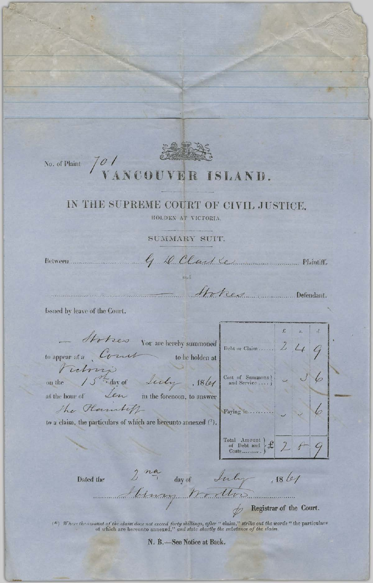

No. of Plaint  $\sqrt{\frac{Q}{N}}$ 

## NCOUVER ISLAND.

## IN THE SUPREME COURT OF CIVIL JUSTICE,

HOLDEN AT VICTORIA.

SUMMARY SUIT.

Between..................

G. D. Clark Communication Plaintiff.

Mokes Desember de Defendant.

Issued by leave of the Court.

Stotzes You are hereby summoned  $\mathcal{L}$ Debt or Claim...... to appear at a Court  $\sim$  to be holden at retrez day of Luly , 18 let Cost of Summons ]<br>and Service .... ] 6 The Plankiff Paying in.... to a claim, the particulars of which are hereunto annexed  $(^{\epsilon})$ . Total Amount )<br>of Debt and 2 noyen day of July 1861 Dated the

 $\phi$  Registrar of the Court.

(\*) Where the amount of the claim does not exceed forty shillings, after " claim," strike out the words " the particulars of which are hereunto annexed," and state shortly the substance of the claim.

N. B.-See Notice at Back.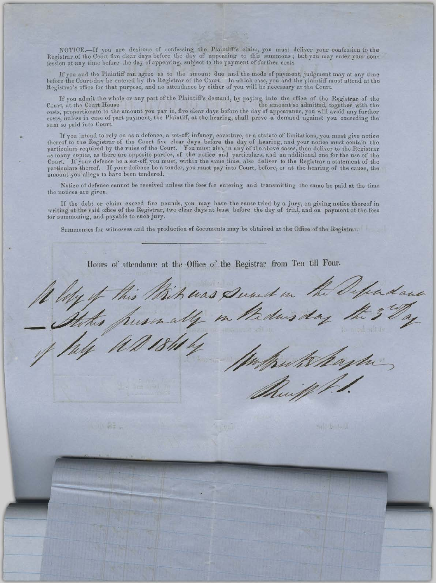NOTICE.-If you are desirous of confessing the Plaintiff's claim, you must deliver your confession to the Registrar of the Court five clear days before the day of appearing to this summons; but you may enter your confession at any time before the day of appearing, subject to the payment of further costs.

If you and the Plaintiff can agree as to the amount due and the mode of payment, judgment may at any time before the Court-day be entered by the Registrar of the Court. In which case, you and the plaintiff must attend at the Registrar's office for that purpose, and no attendance by either of you will be necessary at the Court.

If you admit the whole or any part of the Plaintiff's demand, by paying into the office of the Registrar of the t. at the Court House the amount so admitted, together with the Court, at the Court House costs, proportionate to the amount you pay in, five clear days before the day of appearance, you will avoid any further costs, proportionate to the amount you pay in, five clear days before the day of appearance, you will sum so paid into Court.

If you intend to rely on as a defence, a set-off, infancy, coverture, or a statute of limitations, you must give notice thereof to the Registrar of the Court five clear days before the day of hearing, and your notice must contain the particulars required by the rules of the Court. You must also, in any of the above cases, then deliver to the Registrar<br>as many copies, as there are opposite parties, of the notice and particulars, and an additional one fo Court. If your defence be a set-off, you must, within the same time, also deliver to the Registrar a statement of the particulars thereof. If your defence be a tender, you must pay into Court, before, or at the hearing of amount you allege to have been tendered.

Notice of defence cannot be received unless the fees for entering and transmitting the same be paid at the time the notices are given.

If the debt or claim exceed five pounds, you may have the cause tried by a jury, on giving notice thereof in writing at the said office of the Registrar, two clear days at least before the day of trial, and on payment of the fees tor summoning, and payable to such jury.

Summonses for witnesses and the production of documents may be obtained at the Office of the Registrar.

Hours of attendance at the Office of the Registrar from Ten till Four.

hadaus huas Sunct in pursually in thede

**MARINE CAR**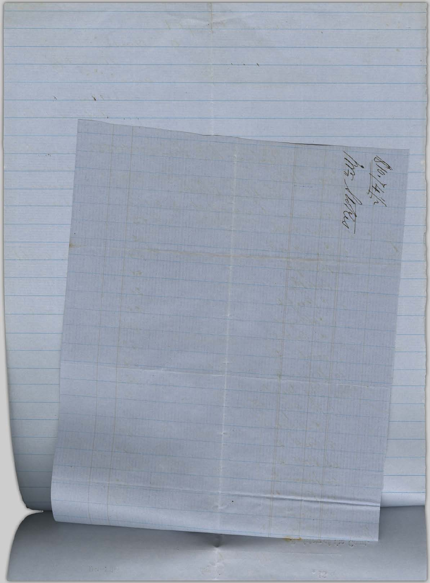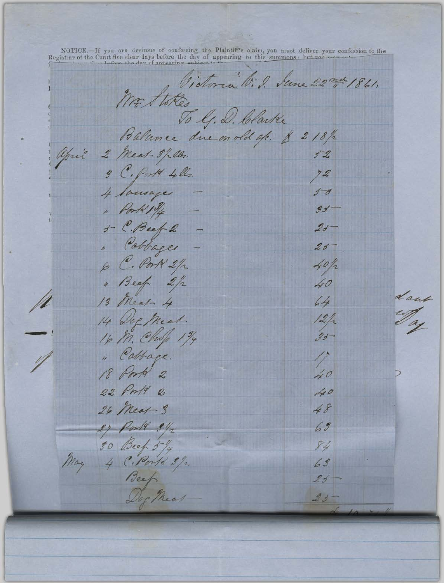NOTICE.—If you are desirous of confessing the Plaintiff's claim, you must deliver your confession to the Registrar of the Court five clear days before the day of appearing to this summons: het you was anticontent Mr Stokes Victoria Vi. 2. Sune 22 nd 1861. Balance due on old a/c. \$ 218/2 april 2 Meat 3/2lbs.  $1 - 2$ 3 C. Porta 4lls.  $72$ 4 laurages  $\sqrt{a}$ " Pork 19/4  $55$  $f - C. Beef 2$  $23$ " Cabbages  $23-$ 6 C. Port 2/2  $40/2$ " Beef 2/2 40 dans 11 13 Meat- 4  $64$ 14 Dec Meat  $\frac{12}{35}$ 16 M. Chop 194 " Cabbage.  $\mathscr{N}$  $\sqrt{ }$ 18 Porta 2  $40$ 22 Pm/9 2 40 26 Meat-3 48 2) Porte 3/2  $69$ 30 Beef 5/4 84 May 4 C. Porta 3/2  $63$ Beef near  $25$  $23 -$